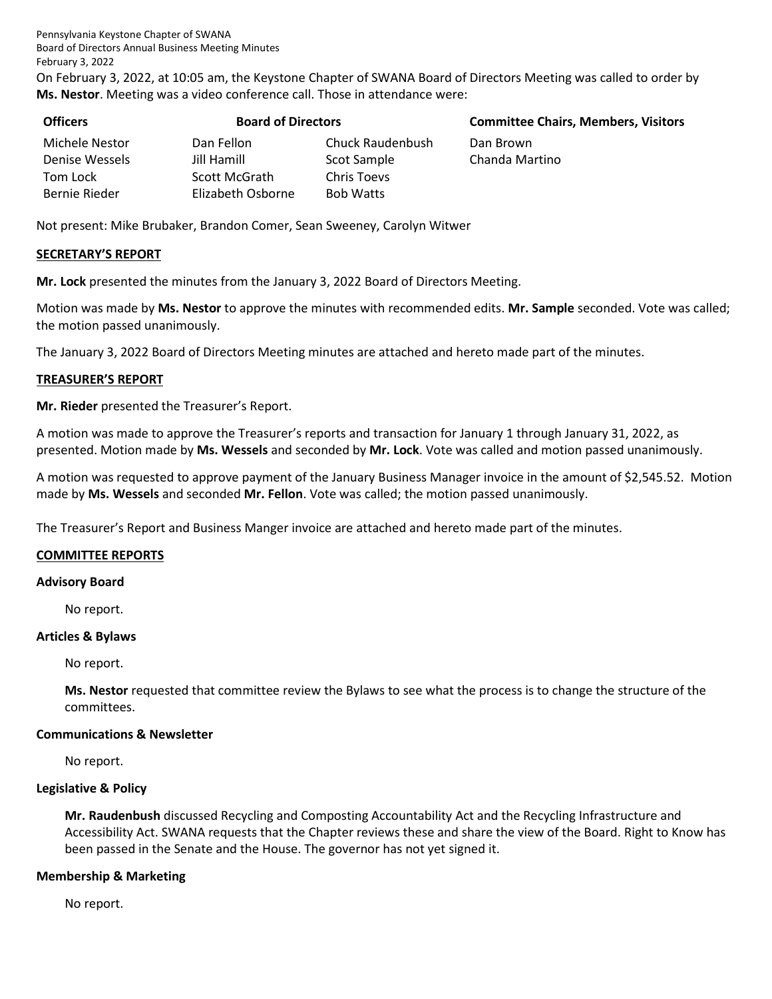Pennsylvania Keystone Chapter of SWANA Board of Directors Annual Business Meeting Minutes February 3, 2022

On February 3, 2022, at 10:05 am, the Keystone Chapter of SWANA Board of Directors Meeting was called to order by **Ms. Nestor**. Meeting was a video conference call. Those in attendance were:

| <b>Officers</b> | <b>Board of Directors</b> |                  | <b>Committee Chairs, Members, Visitors</b> |
|-----------------|---------------------------|------------------|--------------------------------------------|
| Michele Nestor  | Dan Fellon                | Chuck Raudenbush | Dan Brown                                  |
| Denise Wessels  | Jill Hamill               | Scot Sample      | Chanda Martino                             |
| Tom Lock        | Scott McGrath             | Chris Toevs      |                                            |
| Bernie Rieder   | Elizabeth Osborne         | <b>Bob Watts</b> |                                            |

Not present: Mike Brubaker, Brandon Comer, Sean Sweeney, Carolyn Witwer

### **SECRETARY'S REPORT**

**Mr. Lock** presented the minutes from the January 3, 2022 Board of Directors Meeting.

Motion was made by **Ms. Nestor** to approve the minutes with recommended edits. **Mr. Sample** seconded. Vote was called; the motion passed unanimously.

The January 3, 2022 Board of Directors Meeting minutes are attached and hereto made part of the minutes.

#### **TREASURER'S REPORT**

**Mr. Rieder** presented the Treasurer's Report.

A motion was made to approve the Treasurer's reports and transaction for January 1 through January 31, 2022, as presented. Motion made by **Ms. Wessels** and seconded by **Mr. Lock**. Vote was called and motion passed unanimously.

A motion was requested to approve payment of the January Business Manager invoice in the amount of \$2,545.52. Motion made by **Ms. Wessels** and seconded **Mr. Fellon**. Vote was called; the motion passed unanimously.

The Treasurer's Report and Business Manger invoice are attached and hereto made part of the minutes.

#### **COMMITTEE REPORTS**

#### **Advisory Board**

No report.

#### **Articles & Bylaws**

No report.

**Ms. Nestor** requested that committee review the Bylaws to see what the process is to change the structure of the committees.

#### **Communications & Newsletter**

No report.

#### **Legislative & Policy**

**Mr. Raudenbush** discussed Recycling and Composting Accountability Act and the Recycling Infrastructure and Accessibility Act. SWANA requests that the Chapter reviews these and share the view of the Board. Right to Know has been passed in the Senate and the House. The governor has not yet signed it.

#### **Membership & Marketing**

No report.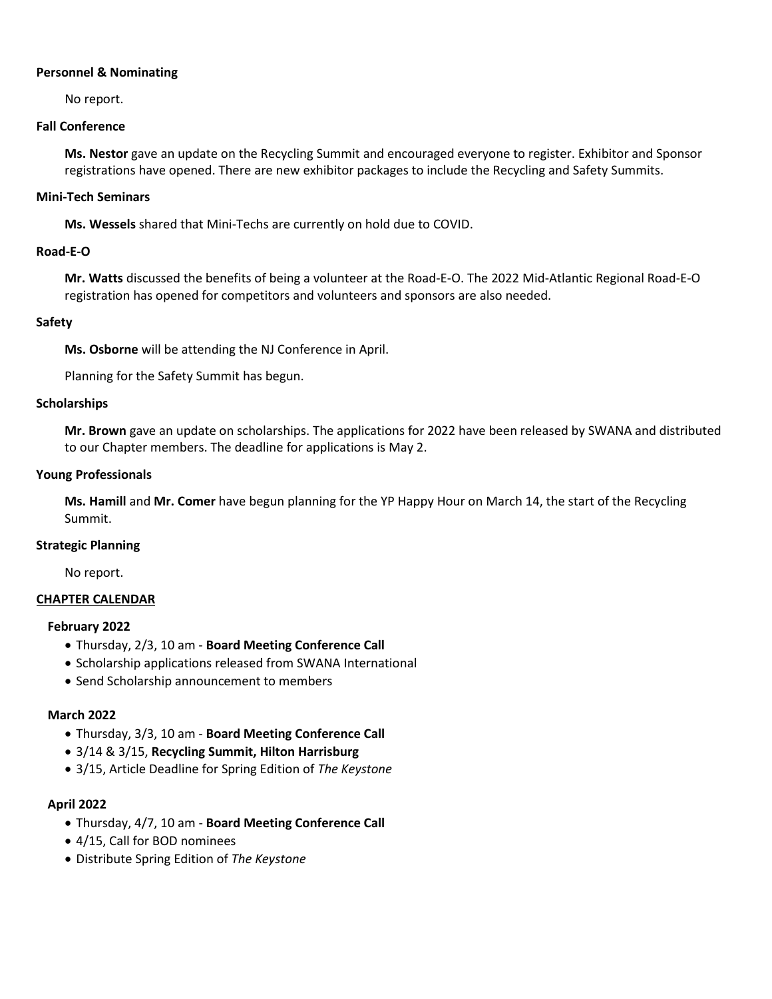### **Personnel & Nominating**

No report.

### **Fall Conference**

**Ms. Nestor** gave an update on the Recycling Summit and encouraged everyone to register. Exhibitor and Sponsor registrations have opened. There are new exhibitor packages to include the Recycling and Safety Summits.

### **Mini-Tech Seminars**

**Ms. Wessels** shared that Mini-Techs are currently on hold due to COVID.

# **Road-E-O**

**Mr. Watts** discussed the benefits of being a volunteer at the Road-E-O. The 2022 Mid-Atlantic Regional Road-E-O registration has opened for competitors and volunteers and sponsors are also needed.

### **Safety**

**Ms. Osborne** will be attending the NJ Conference in April.

Planning for the Safety Summit has begun.

### **Scholarships**

**Mr. Brown** gave an update on scholarships. The applications for 2022 have been released by SWANA and distributed to our Chapter members. The deadline for applications is May 2.

### **Young Professionals**

**Ms. Hamill** and **Mr. Comer** have begun planning for the YP Happy Hour on March 14, the start of the Recycling Summit.

#### **Strategic Planning**

No report.

## **CHAPTER CALENDAR**

#### **February 2022**

- Thursday, 2/3, 10 am **Board Meeting Conference Call**
- Scholarship applications released from SWANA International
- Send Scholarship announcement to members

## **March 2022**

- Thursday, 3/3, 10 am **Board Meeting Conference Call**
- 3/14 & 3/15, **Recycling Summit, Hilton Harrisburg**
- 3/15, Article Deadline for Spring Edition of *The Keystone*

## **April 2022**

- Thursday, 4/7, 10 am **Board Meeting Conference Call**
- 4/15, Call for BOD nominees
- Distribute Spring Edition of *The Keystone*